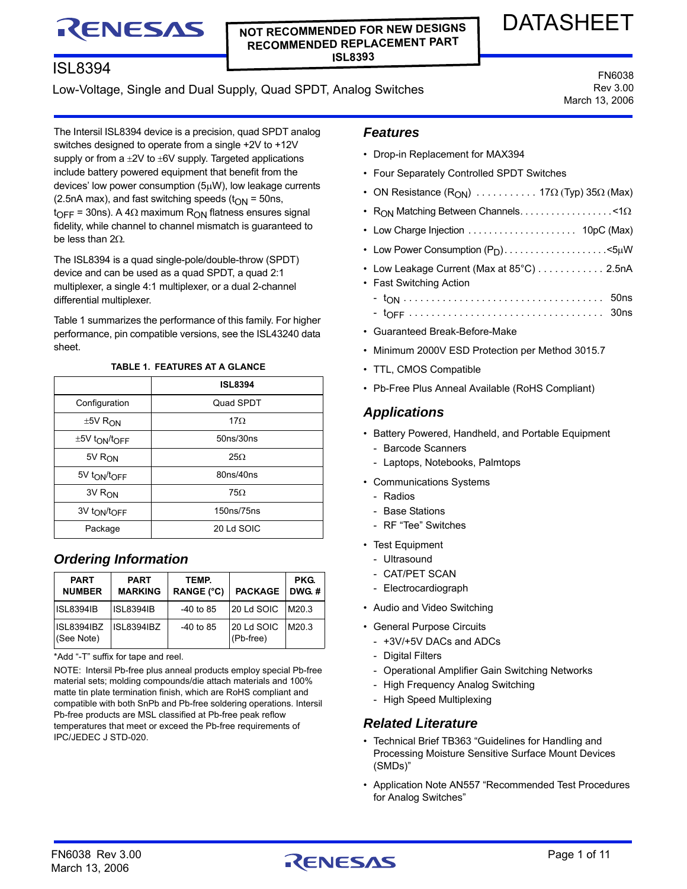# RENESAS

### **NOT RECOMMENDED FOR NEW DESIGNS RECOMMENDED REPLACEMENT PART ISL8393**

# ISL8394

# Low-Voltage, Single and Dual Supply, Quad SPDT, Analog Switches

FN6038 Rev 3.00 March 13, 2006

DATASHEET

The Intersil ISL8394 device is a precision, quad SPDT analog switches designed to operate from a single +2V to +12V supply or from a  $\pm 2V$  to  $\pm 6V$  supply. Targeted applications include battery powered equipment that benefit from the devices' low power consumption  $(5\mu W)$ , low leakage currents (2.5nA max), and fast switching speeds ( $t_{ON}$  = 50ns,  $t_{\text{OFF}}$  = 30ns). A 4 $\Omega$  maximum R<sub>ON</sub> flatness ensures signal fidelity, while channel to channel mismatch is guaranteed to be less than  $2\Omega$ .

The ISL8394 is a quad single-pole/double-throw (SPDT) device and can be used as a quad SPDT, a quad 2:1 multiplexer, a single 4:1 multiplexer, or a dual 2-channel differential multiplexer.

Table [1](#page-0-0) summarizes the performance of this family. For higher performance, pin compatible versions, see the ISL43240 data sheet.

<span id="page-0-0"></span>

| <b>ISL8394</b> |
|----------------|
| Quad SPDT      |
| $17\Omega$     |
| 50ns/30ns      |
| $25\Omega$     |
| 80ns/40ns      |
| $75\Omega$     |
| 150ns/75ns     |
| 20 Ld SOIC     |
|                |

#### **TABLE 1. FEATURES AT A GLANCE**

# *Ordering Information*

| <b>PART</b><br><b>NUMBER</b>    | <b>PART</b><br><b>MARKING</b> | TEMP.<br><b>RANGE (°C)</b> | <b>PACKAGE</b>          | <b>PKG.</b><br>DWG.# |
|---------------------------------|-------------------------------|----------------------------|-------------------------|----------------------|
| <b>ISL8394IB</b>                | <b>ISL8394IB</b>              | $-40$ to 85                | 20 Ld SOIC              | M20.3                |
| <b>ISL8394IBZ</b><br>(See Note) | ISL8394IBZ                    | $-40$ to 85                | 20 Ld SOIC<br>(Pb-free) | M20 3                |

\*Add "-T" suffix for tape and reel.

NOTE: Intersil Pb-free plus anneal products employ special Pb-free material sets; molding compounds/die attach materials and 100% matte tin plate termination finish, which are RoHS compliant and compatible with both SnPb and Pb-free soldering operations. Intersil Pb-free products are MSL classified at Pb-free peak reflow temperatures that meet or exceed the Pb-free requirements of IPC/JEDEC J STD-020.

### *Features*

- Drop-in Replacement for MAX394
- Four Separately Controlled SPDT Switches
- ON Resistance  $(R_{ON})$  .......... 17 $\Omega$  (Typ) 35 $\Omega$  (Max)
- R<sub>ON</sub> Matching Between Channels....................<1 $\Omega$
- Low Charge Injection . . . . . . . . . . . . . . . . . . . . . 10pC (Max)
- Low Power Consumption  $(P_D)$ .......................<5µW
- Low Leakage Current (Max at 85°C) . . . . . . . . . . . . 2.5nA
- Fast Switching Action - tON . . . . . . . . . . . . . . . . . . . . . . . . . . . . . . . . . . . . 50ns
- tOFF . . . . . . . . . . . . . . . . . . . . . . . . . . . . . . . . . . . 30ns
- Guaranteed Break-Before-Make
- Minimum 2000V ESD Protection per Method 3015.7
- TTL, CMOS Compatible
- Pb-Free Plus Anneal Available (RoHS Compliant)

# *Applications*

- Battery Powered, Handheld, and Portable Equipment
	- Barcode Scanners
	- Laptops, Notebooks, Palmtops
- Communications Systems
	- Radios
	- Base Stations
	- RF "Tee" Switches
- Test Equipment
	- Ultrasound
	- CAT/PET SCAN
	- Electrocardiograph
- Audio and Video Switching
- General Purpose Circuits
	- +3V/+5V DACs and ADCs
	- Digital Filters
	- Operational Amplifier Gain Switching Networks
	- High Frequency Analog Switching
	- High Speed Multiplexing

#### *Related Literature*

- Technical Brief TB363 "Guidelines for Handling and Processing Moisture Sensitive Surface Mount Devices (SMDs)"
- Application Note AN557 "Recommended Test Procedures for Analog Switches"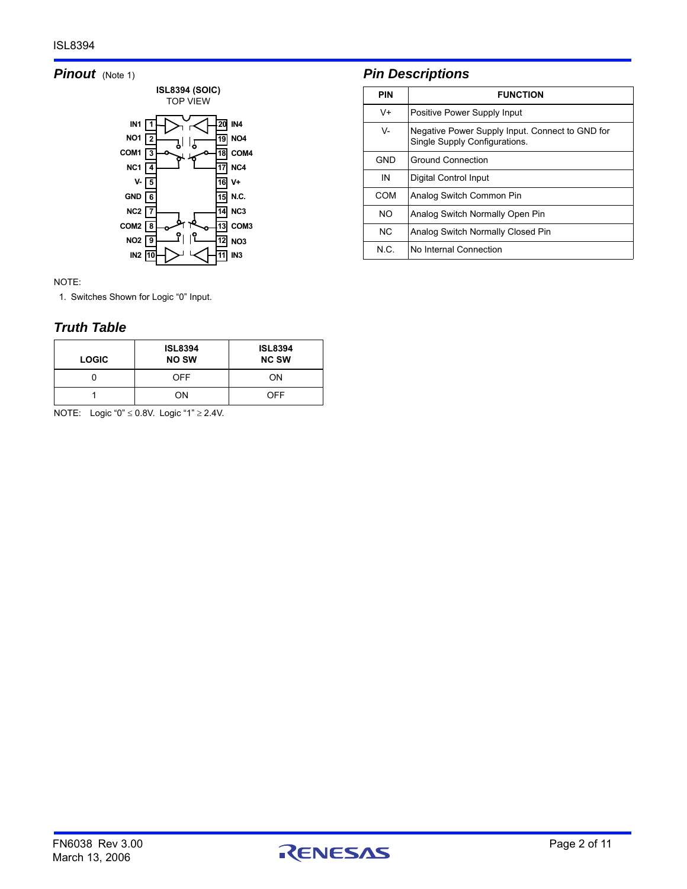# **Pinout** (Note [1\)](#page-1-0)



NOTE:

<span id="page-1-0"></span>1. Switches Shown for Logic "0" Input.

# *Truth Table*

| <b>LOGIC</b> | <b>ISL8394</b><br><b>NO SW</b> | <b>ISL8394</b><br><b>NC SW</b> |
|--------------|--------------------------------|--------------------------------|
|              | OFF                            | OΝ                             |
|              | ON                             | OFF                            |

NOTE: Logic "0"  $\leq$  0.8V. Logic "1"  $\geq$  2.4V.

# *Pin Descriptions*

| <b>PIN</b> | <b>FUNCTION</b>                                                                  |
|------------|----------------------------------------------------------------------------------|
| V+         | Positive Power Supply Input                                                      |
| $V -$      | Negative Power Supply Input. Connect to GND for<br>Single Supply Configurations. |
| GND        | <b>Ground Connection</b>                                                         |
| IN         | Digital Control Input                                                            |
| COM        | Analog Switch Common Pin                                                         |
| NO.        | Analog Switch Normally Open Pin                                                  |
| NC.        | Analog Switch Normally Closed Pin                                                |
| N C.       | No Internal Connection                                                           |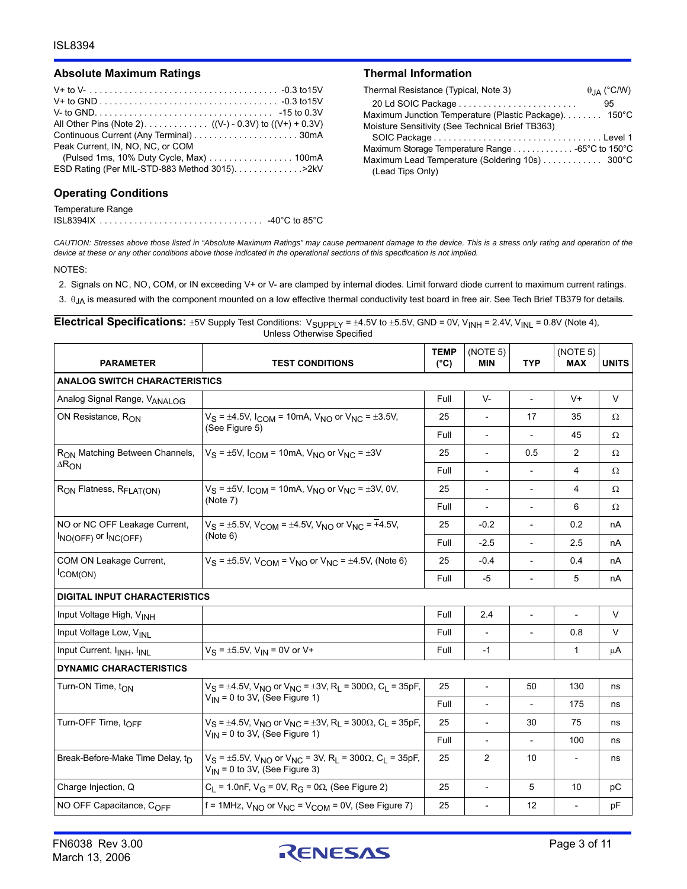#### Absolute Maximum Ratings **National Information** Thermal Information

| Peak Current, IN, NO, NC, or COM                |
|-------------------------------------------------|
| (Pulsed 1ms, 10% Duty Cycle, Max) 100mA         |
| ESD Rating (Per MIL-STD-883 Method 3015). > 2kV |
|                                                 |

#### **Operating Conditions**

#### Temperature Range ISL8394IX . . . . . . . . . . . . . . . . . . . . . . . . . . . . . . . . . -40°C to 85°C

| Thermal Resistance (Typical, Note 3)                 | $\theta$ <sub>JA</sub> (°C/W) |
|------------------------------------------------------|-------------------------------|
|                                                      | 95                            |
| Maximum Junction Temperature (Plastic Package) 150°C |                               |
| Moisture Sensitivity (See Technical Brief TB363)     |                               |
|                                                      |                               |
|                                                      |                               |
| Maximum Lead Temperature (Soldering 10s) 300°C       |                               |
| (Lead Tips Only)                                     |                               |

*CAUTION: Stresses above those listed in "Absolute Maximum Ratings" may cause permanent damage to the device. This is a stress only rating and operation of the device at these or any other conditions above those indicated in the operational sections of this specification is not implied.*

NOTES:

2. Signals on NC, NO, COM, or IN exceeding V+ or V- are clamped by internal diodes. Limit forward diode current to maximum current ratings.

3.  $\theta$ <sub>JA</sub> is measured with the component mounted on a low effective thermal conductivity test board in free air. See Tech Brief TB379 for details.

Electrical Specifications:  $\pm$ 5V Supply Test Conditions: V<sub>SUPPLY</sub> =  $\pm$ 4.5V to  $\pm$ 5.5V, GND = 0V, V<sub>INH</sub> = 2.4V, V<sub>INL</sub> = 0.8V (Note 4), Unless Otherwise Specified

| <b>PARAMETER</b>                                      | <b>TEST CONDITIONS</b>                                                                                                                      | <b>TEMP</b><br>$(^{\circ}C)$ | (NOTE 5)<br><b>MIN</b>                                                                                                                                                                                                                                                                                                                                                                               | <b>TYP</b>               | (NOTE 5)<br><b>MAX</b>                                                                                                                                | <b>UNITS</b> |
|-------------------------------------------------------|---------------------------------------------------------------------------------------------------------------------------------------------|------------------------------|------------------------------------------------------------------------------------------------------------------------------------------------------------------------------------------------------------------------------------------------------------------------------------------------------------------------------------------------------------------------------------------------------|--------------------------|-------------------------------------------------------------------------------------------------------------------------------------------------------|--------------|
| <b>ANALOG SWITCH CHARACTERISTICS</b>                  |                                                                                                                                             |                              |                                                                                                                                                                                                                                                                                                                                                                                                      |                          |                                                                                                                                                       |              |
| Analog Signal Range, VANALOG                          |                                                                                                                                             | Full                         | $V -$                                                                                                                                                                                                                                                                                                                                                                                                |                          | $V +$                                                                                                                                                 | $\vee$       |
| ON Resistance, RON                                    | $V_S = \pm 4.5V$ , $I_{COM} = 10$ mA, $V_{NO}$ or $V_{NC} = \pm 3.5V$ ,                                                                     | 25                           |                                                                                                                                                                                                                                                                                                                                                                                                      | 17                       | 35                                                                                                                                                    | Ω            |
|                                                       | (See Figure 5)                                                                                                                              | Full                         | $\blacksquare$                                                                                                                                                                                                                                                                                                                                                                                       |                          | 45                                                                                                                                                    | Ω            |
| R <sub>ON</sub> Matching Between Channels,            | $V_S = \pm 5V$ , I <sub>COM</sub> = 10mA, $V_{NO}$ or $V_{NC} = \pm 3V$                                                                     | 25                           | $\overline{\phantom{a}}$                                                                                                                                                                                                                                                                                                                                                                             | 0.5                      | $\overline{c}$                                                                                                                                        | Ω            |
| $\Delta R_{ON}$                                       |                                                                                                                                             | Full                         | $\overline{\phantom{a}}$                                                                                                                                                                                                                                                                                                                                                                             | $\overline{\phantom{a}}$ | 4                                                                                                                                                     | Ω            |
| RON Flatness, R <sub>FLAT(ON)</sub>                   | $V_S = \pm 5V$ , $I_{COM} = 10$ mA, $V_{NO}$ or $V_{NC} = \pm 3V$ , 0V,                                                                     | 25                           | $\overline{\phantom{a}}$                                                                                                                                                                                                                                                                                                                                                                             | $\overline{\phantom{a}}$ | 4                                                                                                                                                     | Ω            |
|                                                       | (Note 7)                                                                                                                                    | Full                         | $\overline{\phantom{a}}$                                                                                                                                                                                                                                                                                                                                                                             |                          | 6<br>Ω<br>0.2<br>nA<br>2.5<br>nA<br>0.4<br>nA<br>5<br>nA<br>V<br>$\overline{\phantom{0}}$<br>V<br>0.8<br>$\mathbf{1}$<br>μA<br>130<br>ns<br>175<br>ns |              |
| NO or NC OFF Leakage Current,<br>INO(OFF) OF INC(OFF) | $V_S = \pm 5.5V$ , $V_{COM} = \pm 4.5V$ , $V_{NO}$ or $V_{NC} = +4.5V$ ,                                                                    | 25                           | $-0.2$                                                                                                                                                                                                                                                                                                                                                                                               |                          |                                                                                                                                                       |              |
|                                                       | (Note 6)                                                                                                                                    | Full                         | $-2.5$<br>25<br>$-0.4$<br>$\overline{a}$<br>Full<br>-5<br>$\overline{\phantom{a}}$<br>Full<br>2.4<br>$\overline{\phantom{m}}$<br>Full<br>Full<br>$-1$<br>25<br>$\overline{a}$<br>50<br>Full<br>$\overline{\phantom{a}}$<br>25<br>30<br>75<br>$\overline{\phantom{a}}$<br>Full<br>100<br>$\blacksquare$<br>$\overline{a}$<br>25<br>$\overline{2}$<br>10<br>$\overline{\phantom{a}}$<br>$\overline{a}$ |                          |                                                                                                                                                       |              |
| COM ON Leakage Current,<br>COM(ON)                    | $V_S = \pm 5.5V$ , $V_{COM} = V_{NO}$ or $V_{NC} = \pm 4.5V$ , (Note 6)                                                                     |                              |                                                                                                                                                                                                                                                                                                                                                                                                      |                          |                                                                                                                                                       |              |
|                                                       |                                                                                                                                             |                              |                                                                                                                                                                                                                                                                                                                                                                                                      |                          |                                                                                                                                                       |              |
| <b>DIGITAL INPUT CHARACTERISTICS</b>                  |                                                                                                                                             |                              |                                                                                                                                                                                                                                                                                                                                                                                                      |                          |                                                                                                                                                       |              |
| Input Voltage High, VINH                              |                                                                                                                                             |                              |                                                                                                                                                                                                                                                                                                                                                                                                      |                          |                                                                                                                                                       |              |
| Input Voltage Low, V <sub>INI</sub>                   |                                                                                                                                             |                              |                                                                                                                                                                                                                                                                                                                                                                                                      |                          |                                                                                                                                                       |              |
| Input Current, I <sub>INH</sub> , I <sub>INL</sub>    | $V_S = \pm 5.5V$ , $V_{IN} = 0V$ or V+                                                                                                      |                              |                                                                                                                                                                                                                                                                                                                                                                                                      |                          |                                                                                                                                                       |              |
| <b>DYNAMIC CHARACTERISTICS</b>                        |                                                                                                                                             |                              |                                                                                                                                                                                                                                                                                                                                                                                                      |                          |                                                                                                                                                       |              |
| Turn-ON Time, t <sub>ON</sub>                         | $V_S = \pm 4.5V$ , $V_{NO}$ or $V_{NC} = \pm 3V$ , R <sub>L</sub> = 300 $\Omega$ , C <sub>L</sub> = 35pF,                                   |                              |                                                                                                                                                                                                                                                                                                                                                                                                      |                          |                                                                                                                                                       |              |
|                                                       | $V_{IN}$ = 0 to 3V, (See Figure 1)                                                                                                          |                              |                                                                                                                                                                                                                                                                                                                                                                                                      |                          |                                                                                                                                                       |              |
| Turn-OFF Time, t <sub>OFF</sub>                       | $V_S = \pm 4.5V$ , $V_{NO}$ or $V_{NC} = \pm 3V$ , R <sub>L</sub> = 300 $\Omega$ , C <sub>L</sub> = 35pF,                                   |                              |                                                                                                                                                                                                                                                                                                                                                                                                      |                          |                                                                                                                                                       | ns           |
|                                                       | $V_{IN}$ = 0 to 3V, (See Figure 1)                                                                                                          |                              |                                                                                                                                                                                                                                                                                                                                                                                                      |                          |                                                                                                                                                       | ns           |
| Break-Before-Make Time Delay, tn                      | $V_S = \pm 5.5V$ , $V_{NO}$ or $V_{NC} = 3V$ , R <sub>L</sub> = 300 $\Omega$ , C <sub>L</sub> = 35pF,<br>$V_{IN}$ = 0 to 3V, (See Figure 3) |                              |                                                                                                                                                                                                                                                                                                                                                                                                      |                          |                                                                                                                                                       | ns           |
| Charge Injection, Q                                   | $C_1$ = 1.0nF, V <sub>G</sub> = 0V, R <sub>G</sub> = 0Ω, (See Figure 2)                                                                     | 25                           |                                                                                                                                                                                                                                                                                                                                                                                                      | 5                        | 10                                                                                                                                                    | рC           |
| NO OFF Capacitance, COFF                              | $f = 1$ MHz, $V_{NO}$ or $V_{NC} = V_{COM} = 0V$ , (See Figure 7)                                                                           | 25                           |                                                                                                                                                                                                                                                                                                                                                                                                      | 12                       | $\blacksquare$                                                                                                                                        | pF           |

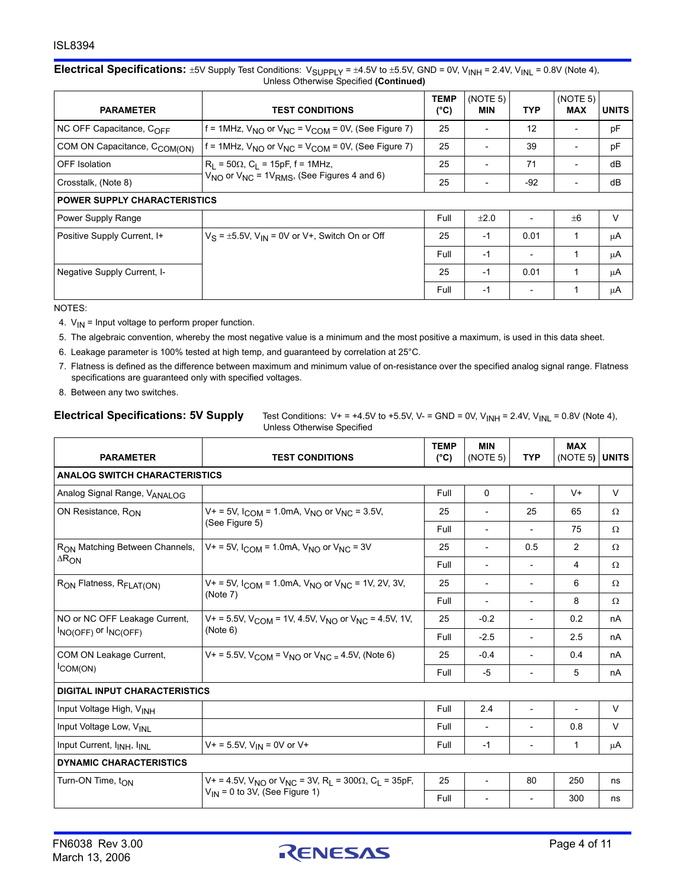#### **Electrical Specifications:**  $\pm$ 5V Supply Test Conditions:  $V_{\text{SUPPLY}} = \pm 4.5V$  to  $\pm$ 5.5V, GND = 0V, V<sub>INH</sub> = 2.4V, V<sub>INL</sub> = 0.8V (Note 4), Unless Otherwise Specified **(Continued)**

| <b>PARAMETER</b>                         | <b>TEST CONDITIONS</b>                                          | <b>TEMP</b><br>(°C) | (NOTE 5)<br><b>MIN</b> | <b>TYP</b>               | (NOTE 5)<br><b>MAX</b>   | <b>UNITS</b> |
|------------------------------------------|-----------------------------------------------------------------|---------------------|------------------------|--------------------------|--------------------------|--------------|
| NC OFF Capacitance, C <sub>OFF</sub>     | f = 1MHz, $V_{NO}$ or $V_{NC}$ = $V_{COM}$ = 0V, (See Figure 7) | 25                  |                        | 12                       | $\overline{\phantom{0}}$ | pF           |
| COM ON Capacitance, C <sub>COM(ON)</sub> | f = 1MHz, $V_{NO}$ or $V_{NC}$ = $V_{COM}$ = 0V, (See Figure 7) | 25                  |                        | 39                       | $\overline{\phantom{a}}$ | рF           |
| OFF Isolation                            | $R_1 = 50\Omega$ , $C_1 = 15pF$ , f = 1MHz,                     | 25                  |                        | 71                       | $\overline{\phantom{a}}$ | dB           |
| Crosstalk, (Note 8)                      | $V_{NO}$ or $V_{NC}$ = 1 $V_{RMS}$ , (See Figures 4 and 6)      | 25                  |                        | $-92$                    | $\overline{\phantom{a}}$ | dB           |
| <b>POWER SUPPLY CHARACTERISTICS</b>      |                                                                 |                     |                        |                          |                          |              |
| Power Supply Range                       |                                                                 | Full                | $+2.0$                 |                          | $+6$                     | V            |
| Positive Supply Current, I+              | $V_S = \pm 5.5V$ , $V_{IN} = 0V$ or V+, Switch On or Off        | 25                  | -1                     | 0.01                     | 1                        | μA           |
|                                          |                                                                 | Full                | $-1$                   | $\overline{\phantom{a}}$ | 1                        | μA           |
| Negative Supply Current, I-              |                                                                 | 25                  | -1                     | 0.01                     | 1                        | μA           |
|                                          |                                                                 | Full                | $-1$                   |                          |                          | μA           |

NOTES:

- 4.  $V_{IN}$  = Input voltage to perform proper function.
- 5. The algebraic convention, whereby the most negative value is a minimum and the most positive a maximum, is used in this data sheet.
- 6. Leakage parameter is 100% tested at high temp, and guaranteed by correlation at 25°C.
- 7. Flatness is defined as the difference between maximum and minimum value of on-resistance over the specified analog signal range. Flatness specifications are guaranteed only with specified voltages.
- 8. Between any two switches.

**Electrical Specifications: 5V Supply** Test Conditions:  $V_+ = +4.5V$  to  $+5.5V$ ,  $V_-=$  GND = 0V,  $V_{INH} = 2.4V$ ,  $V_{INL} = 0.8V$  (Note 4), Unless Otherwise Specified

| <b>PARAMETER</b>                                   | <b>TEST CONDITIONS</b>                                                                                     | <b>TEMP</b><br>$(^{\circ}C)$ | <b>MIN</b><br>(NOTE 5)                                    | <b>TYP</b>                    | <b>MAX</b><br>(NOTE 5) | <b>UNITS</b> |
|----------------------------------------------------|------------------------------------------------------------------------------------------------------------|------------------------------|-----------------------------------------------------------|-------------------------------|------------------------|--------------|
| <b>ANALOG SWITCH CHARACTERISTICS</b>               |                                                                                                            |                              |                                                           |                               |                        |              |
| Analog Signal Range, VANALOG                       |                                                                                                            | Full                         | $\Omega$                                                  | $\overline{\phantom{a}}$      | $V +$                  | V            |
| ON Resistance, RON                                 | $V_+$ = 5V, $I_{COM}$ = 1.0mA, $V_{NO}$ or $V_{NC}$ = 3.5V,                                                | 25                           |                                                           | 25                            | 65                     | Ω            |
|                                                    | (See Figure 5)                                                                                             | Full                         | $\overline{\phantom{a}}$                                  | $\overline{\phantom{a}}$      | 75                     | Ω            |
| R <sub>ON</sub> Matching Between Channels,         | $V_1 = 5V$ , $I_{COM} = 1.0$ mA, $V_{NO}$ or $V_{MC} = 3V$                                                 | 25                           | $\blacksquare$                                            | 0.5                           | 2                      | Ω            |
| $\Delta R_{ON}$                                    |                                                                                                            | Full                         | $\overline{\phantom{a}}$                                  | $\overline{\phantom{a}}$      | 4                      | Ω            |
| R <sub>ON</sub> Flatness, R <sub>FLAT(ON)</sub>    | $V_+$ = 5V, $I_{COM}$ = 1.0mA, $V_{NO}$ or $V_{NC}$ = 1V, 2V, 3V,                                          | 25                           | $\overline{\phantom{a}}$                                  | 6<br>$\overline{\phantom{a}}$ |                        | Ω            |
|                                                    | (Note 7)                                                                                                   | Full                         | 8<br>$\overline{\phantom{a}}$<br>$\overline{\phantom{a}}$ |                               | Ω                      |              |
| NO or NC OFF Leakage Current,                      | $V_+$ = 5.5V, V <sub>COM</sub> = 1V, 4.5V, V <sub>NO</sub> or V <sub>NC</sub> = 4.5V, 1V,                  | 25                           | $-0.2$                                                    | $\overline{\phantom{a}}$      | 0.2                    | nA           |
| $I_{NO(OFF)}$ or $I_{NCOFF}$                       | (Note 6)                                                                                                   | Full                         | $-2.5$                                                    | $\overline{\phantom{a}}$      | 2.5                    | nA           |
| COM ON Leakage Current,                            | $V_+$ = 5.5V, V <sub>COM</sub> = V <sub>NO</sub> or V <sub>NC</sub> = 4.5V, (Note 6)                       | 25                           | $-0.4$                                                    | $\overline{a}$                | 0.4                    | nA           |
| COM(ON)                                            |                                                                                                            | Full                         | -5                                                        | $\overline{\phantom{a}}$      | 5                      | nA           |
| <b>DIGITAL INPUT CHARACTERISTICS</b>               |                                                                                                            |                              |                                                           |                               |                        |              |
| Input Voltage High, V <sub>INH</sub>               |                                                                                                            | Full                         | 2.4                                                       | $\overline{\phantom{a}}$      | $\overline{a}$         | V            |
| Input Voltage Low, V <sub>INI</sub>                |                                                                                                            | Full                         | $\overline{\phantom{a}}$                                  | $\overline{\phantom{a}}$      | 0.8                    | $\vee$       |
| Input Current, I <sub>INH</sub> , I <sub>INL</sub> | $V + = 5.5V$ , $V_{IN} = 0V$ or $V +$                                                                      | Full                         | $-1$                                                      | $\overline{\phantom{a}}$      | $\mathbf{1}$           | μA           |
| <b>DYNAMIC CHARACTERISTICS</b>                     |                                                                                                            |                              |                                                           |                               |                        |              |
| Turn-ON Time, t <sub>ON</sub>                      | V+ = 4.5V, V <sub>NO</sub> or V <sub>NC</sub> = 3V, R <sub>L</sub> = 300 $\Omega$ , C <sub>L</sub> = 35pF, | 25                           | $\overline{a}$                                            | 80                            | 250                    | ns           |
|                                                    | $V_{IN}$ = 0 to 3V, (See Figure 1)                                                                         | Full                         |                                                           | $\overline{\phantom{a}}$      | 300                    | ns           |

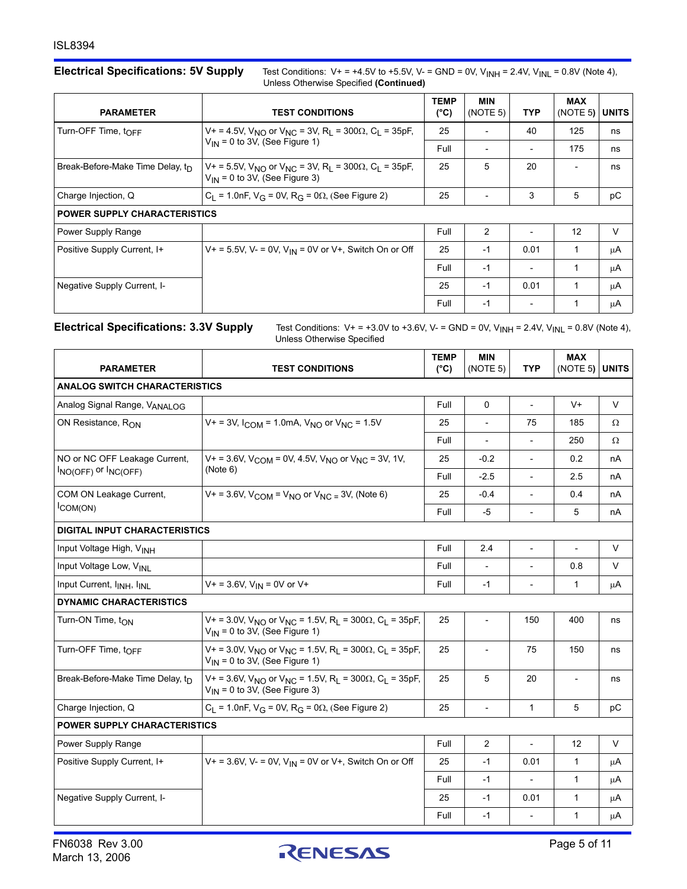Electrical Specifications: 5V Supply Test Conditions: V+ = +4.5V to +5.5V, V- = GND = 0V, V<sub>INH</sub> = 2.4V, V<sub>INL</sub> = 0.8V (Note 4), Unless Otherwise Specified **(Continued)**

| <b>PARAMETER</b>                             | <b>TEST CONDITIONS</b>                                                                                                                 | <b>TEMP</b><br>$(^{\circ}C)$ | <b>MIN</b><br>(NOTE 5) | <b>TYP</b>                                                                                                                                   | <b>MAX</b> | <b>UNITS</b> |
|----------------------------------------------|----------------------------------------------------------------------------------------------------------------------------------------|------------------------------|------------------------|----------------------------------------------------------------------------------------------------------------------------------------------|------------|--------------|
| Turn-OFF Time, $t_{\text{OFF}}$              | V+ = 4.5V, V <sub>NO</sub> or V <sub>NC</sub> = 3V, R <sub>I</sub> = 300 $\Omega$ , C <sub>I</sub> = 35pF,                             | 25                           |                        | 40                                                                                                                                           | 125        | ns           |
|                                              | $V_{IN}$ = 0 to 3V, (See Figure 1)                                                                                                     | Full                         |                        | (NOTE 5)<br>175<br>20<br>$\overline{\phantom{0}}$<br>5<br>3<br>12<br>$\overline{\phantom{a}}$<br>0.01<br>$\mathbf{1}$<br>1<br>1<br>0.01<br>1 | ns         |              |
| Break-Before-Make Time Delay, $t_{\text{D}}$ | $V_1 = 5.5V$ , $V_{N}$ or $V_{NC} = 3V$ , R <sub>1</sub> = 300 $\Omega$ , C <sub>1</sub> = 35pF,<br>$V_{IN}$ = 0 to 3V, (See Figure 3) | 25                           | 5                      |                                                                                                                                              |            | ns           |
| Charge Injection, Q                          | $C_L$ = 1.0nF, $V_G$ = 0V, R <sub>G</sub> = 0 $\Omega$ , (See Figure 2)                                                                | 25                           |                        |                                                                                                                                              |            | pC           |
| <b>POWER SUPPLY CHARACTERISTICS</b>          |                                                                                                                                        |                              |                        |                                                                                                                                              |            |              |
| Power Supply Range                           |                                                                                                                                        | Full                         | $\mathcal{P}$          |                                                                                                                                              |            | $\vee$       |
| Positive Supply Current, I+                  | $V_+$ = 5.5V, V- = 0V, V <sub>IN</sub> = 0V or V+, Switch On or Off                                                                    | 25                           | $-1$                   |                                                                                                                                              |            | μA           |
|                                              |                                                                                                                                        | Full                         | $-1$                   |                                                                                                                                              |            | μA           |
| Negative Supply Current, I-                  |                                                                                                                                        | 25                           | $-1$                   |                                                                                                                                              |            | μA           |
|                                              |                                                                                                                                        | Full                         | $-1$                   |                                                                                                                                              |            | μA           |

Electrical Specifications: 3.3V Supply Test Conditions: V+ = +3.0V to +3.6V, V- = GND = 0V, V<sub>INH</sub> = 2.4V, V<sub>INL</sub> = 0.8V (Note 4), Unless Otherwise Specified

| <b>PARAMETER</b>                                   | <b>TEST CONDITIONS</b>                                                                                                                                | <b>TEMP</b><br>$(^{\circ}C)$ | MIN<br>(NOTE 5)          | <b>TYP</b>               | <b>MAX</b><br>(NOTE 5)   | <b>UNITS</b> |  |  |
|----------------------------------------------------|-------------------------------------------------------------------------------------------------------------------------------------------------------|------------------------------|--------------------------|--------------------------|--------------------------|--------------|--|--|
| <b>ANALOG SWITCH CHARACTERISTICS</b>               |                                                                                                                                                       |                              |                          |                          |                          |              |  |  |
| Analog Signal Range, VANALOG                       |                                                                                                                                                       | Full                         | $\mathbf{0}$             | $\overline{\phantom{a}}$ | V+                       | $\vee$       |  |  |
| ON Resistance, $R_{ON}$                            | $V_+$ = 3V, $I_{COM}$ = 1.0mA, $V_{NO}$ or $V_{NC}$ = 1.5V                                                                                            | 25                           | $\overline{\phantom{a}}$ | 75                       | 185                      | Ω            |  |  |
|                                                    |                                                                                                                                                       | Full                         | $\overline{\phantom{a}}$ | $\overline{a}$           | 250                      | Ω            |  |  |
| NO or NC OFF Leakage Current.                      | $V_1 = 3.6V$ , $V_{COM} = 0V$ , 4.5V, $V_{NLO}$ or $V_{NIC} = 3V$ , 1V,                                                                               | 25                           | $-0.2$                   | $\overline{a}$           | 0.2                      | nA           |  |  |
| $I_{NO(OFF)}$ or $I_{NC(OFF)}$                     | (Note 6)                                                                                                                                              | Full                         | $-2.5$                   | $\overline{a}$           | 2.5                      | nA           |  |  |
| COM ON Leakage Current,                            | $V_+ = 3.6V$ , $V_{\text{COM}} = V_{\text{NO}}$ or $V_{\text{NC}} = 3V$ , (Note 6)                                                                    | 25                           | $-0.4$                   | ÷,                       | 0.4                      | nA           |  |  |
| $I$ COM(ON)                                        |                                                                                                                                                       | Full                         | $-5$                     | $\overline{\phantom{a}}$ | 5                        | nA           |  |  |
| <b>DIGITAL INPUT CHARACTERISTICS</b>               |                                                                                                                                                       |                              |                          |                          |                          |              |  |  |
| Input Voltage High, VINH                           |                                                                                                                                                       | Full                         | 2.4                      | $\overline{\phantom{a}}$ | $\overline{\phantom{a}}$ | V            |  |  |
| Input Voltage Low, VINI                            |                                                                                                                                                       | Full                         |                          |                          | 0.8                      | V            |  |  |
| Input Current, I <sub>INH</sub> , I <sub>INI</sub> | $V+ = 3.6V, V_{IN} = 0V$ or V+                                                                                                                        | Full                         | $-1$                     |                          | 1                        | μA           |  |  |
| <b>DYNAMIC CHARACTERISTICS</b>                     |                                                                                                                                                       |                              |                          |                          |                          |              |  |  |
| Turn-ON Time, t <sub>ON</sub>                      | $V_+$ = 3.0V, V <sub>NO</sub> or V <sub>NC</sub> = 1.5V, R <sub>L</sub> = 300 $\Omega$ , C <sub>L</sub> = 35pF,<br>$V_{IN}$ = 0 to 3V, (See Figure 1) | 25                           | $\overline{\phantom{a}}$ | 150                      | 400                      | ns           |  |  |
| Turn-OFF Time, t <sub>OFF</sub>                    | V + = 3.0V, V <sub>NO</sub> or V <sub>NC</sub> = 1.5V, R <sub>L</sub> = 300 $\Omega$ , C <sub>L</sub> = 35pF,<br>$V_{IN}$ = 0 to 3V, (See Figure 1)   | 25                           |                          | 75                       | 150                      | ns           |  |  |
| Break-Before-Make Time Delay, tn                   | $V_1 = 3.6V$ , $V_{NQ}$ or $V_{NC} = 1.5V$ , R <sub>1</sub> = 300 $\Omega$ , C <sub>1</sub> = 35pF,<br>$V_{\text{IN}}$ = 0 to 3V, (See Figure 3)      | 25                           | 5                        | 20                       | $\overline{\phantom{a}}$ | ns           |  |  |
| Charge Injection, Q                                | C <sub>1</sub> = 1.0nF, $V_G$ = 0V, R <sub>G</sub> = 0 $\Omega$ , (See Figure 2)                                                                      | 25                           | $\overline{\phantom{0}}$ | $\mathbf{1}$             | 5                        | pC           |  |  |
| <b>POWER SUPPLY CHARACTERISTICS</b>                |                                                                                                                                                       |                              |                          |                          |                          |              |  |  |
| Power Supply Range                                 |                                                                                                                                                       | Full                         | 2                        | $\overline{\phantom{a}}$ | 12                       | $\vee$       |  |  |
| Positive Supply Current, I+                        | $V_+$ = 3.6V, V- = 0V, V <sub>IN</sub> = 0V or V+, Switch On or Off                                                                                   | 25                           | $-1$                     | 0.01                     | $\mathbf{1}$             | μA           |  |  |
|                                                    |                                                                                                                                                       | Full                         | $-1$                     | $\overline{\phantom{a}}$ | $\mathbf{1}$             | μA           |  |  |
| Negative Supply Current, I-                        |                                                                                                                                                       | 25                           | $-1$                     | 0.01                     | $\mathbf{1}$             | μA           |  |  |
|                                                    |                                                                                                                                                       | Full                         | $-1$                     | $\overline{\phantom{a}}$ | $\mathbf{1}$             | μA           |  |  |

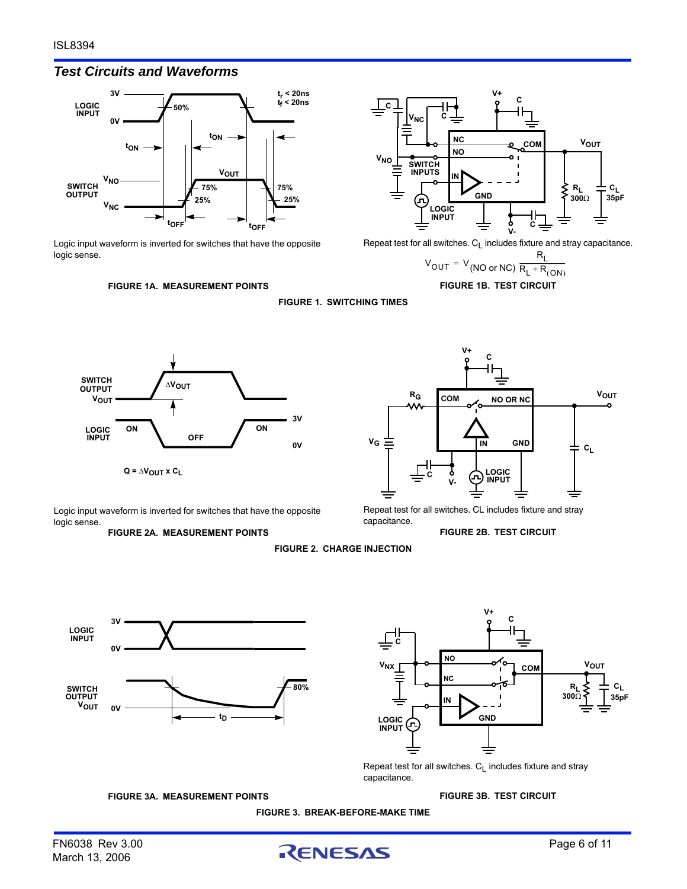# *Test Circuits and Waveforms*



Logic input waveform is inverted for switches that have the opposite logic sense.



Repeat test for all switches.  $C_L$  includes fixture and stray capacitance.

$$
V_{OUT} = V_{(NO or NC)} \frac{R_L}{R_L + R_{(ON)}}
$$

**FIGURE 1B. TEST CIRCUIT**







Logic input waveform is inverted for switches that have the opposite logic sense.

**FIGURE 2A. MEASUREMENT POINTS**

Repeat test for all switches. CL includes fixture and stray capacitance.

#### **FIGURE 2B. TEST CIRCUIT**

**FIGURE 2. CHARGE INJECTION**





**FIGURE 3B. TEST CIRCUIT**

Repeat test for all switches.  $C_1$  includes fixture and stray capacitance.

**FIGURE 3A. MEASUREMENT POINTS**

#### **FIGURE 3. BREAK-BEFORE-MAKE TIME**

March 13, 2006

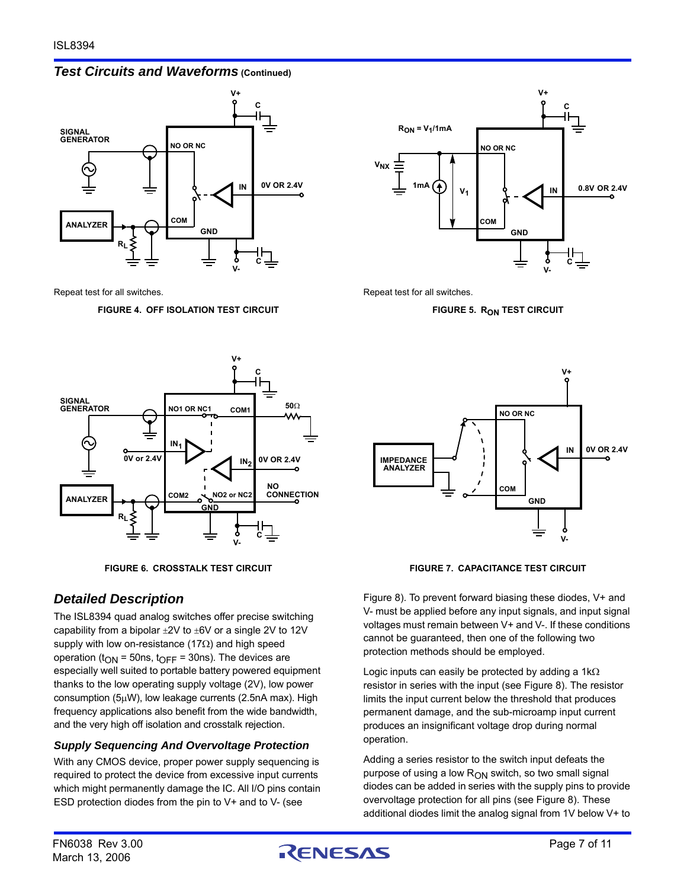### *Test Circuits and Waveforms* **(Continued)**



Repeat test for all switches.

#### **FIGURE 4. OFF ISOLATION TEST CIRCUIT**





# *Detailed Description*

The ISL8394 quad analog switches offer precise switching capability from a bipolar  $\pm 2V$  to  $\pm 6V$  or a single 2V to 12V supply with low on-resistance (17 $\Omega$ ) and high speed operation ( $t_{ON}$  = 50ns,  $t_{OFF}$  = 30ns). The devices are especially well suited to portable battery powered equipment thanks to the low operating supply voltage (2V), low power consumption (5W), low leakage currents (2.5nA max). High frequency applications also benefit from the wide bandwidth, and the very high off isolation and crosstalk rejection.

# *Supply Sequencing And Overvoltage Protection*

With any CMOS device, proper power supply sequencing is required to protect the device from excessive input currents which might permanently damage the IC. All I/O pins contain ESD protection diodes from the pin to V+ and to V- (see



Repeat test for all switches.

**FIGURE 5. RON TEST CIRCUIT** 



**FIGURE 6. CROSSTALK TEST CIRCUIT FIGURE 7. CAPACITANCE TEST CIRCUIT** 

Figure [8\)](#page-7-0). To prevent forward biasing these diodes, V+ and V- must be applied before any input signals, and input signal voltages must remain between V+ and V-. If these conditions cannot be guaranteed, then one of the following two protection methods should be employed.

Logic inputs can easily be protected by adding a  $1k\Omega$ resistor in series with the input (see Figure [8](#page-7-0)). The resistor limits the input current below the threshold that produces permanent damage, and the sub-microamp input current produces an insignificant voltage drop during normal operation.

Adding a series resistor to the switch input defeats the purpose of using a low  $R_{ON}$  switch, so two small signal diodes can be added in series with the supply pins to provide overvoltage protection for all pins (see Figure [8](#page-7-0)). These additional diodes limit the analog signal from 1V below V+ to

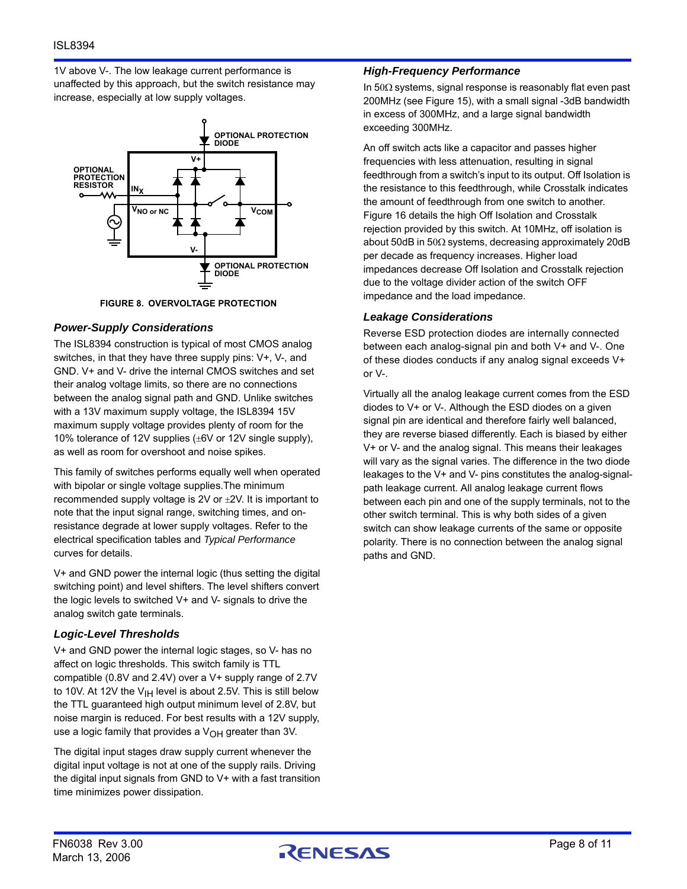1V above V-. The low leakage current performance is unaffected by this approach, but the switch resistance may increase, especially at low supply voltages.



**FIGURE 8. OVERVOLTAGE PROTECTION**

#### <span id="page-7-0"></span>*Power-Supply Considerations*

The ISL8394 construction is typical of most CMOS analog switches, in that they have three supply pins: V+, V-, and GND. V+ and V- drive the internal CMOS switches and set their analog voltage limits, so there are no connections between the analog signal path and GND. Unlike switches with a 13V maximum supply voltage, the ISL8394 15V maximum supply voltage provides plenty of room for the 10% tolerance of 12V supplies  $(\pm 6V$  or 12V single supply), as well as room for overshoot and noise spikes.

This family of switches performs equally well when operated with bipolar or single voltage supplies.The minimum recommended supply voltage is 2V or  $\pm$ 2V. It is important to note that the input signal range, switching times, and onresistance degrade at lower supply voltages. Refer to the electrical specification tables and *Typical Performance* curves for details.

V+ and GND power the internal logic (thus setting the digital switching point) and level shifters. The level shifters convert the logic levels to switched V+ and V- signals to drive the analog switch gate terminals.

# *Logic-Level Thresholds*

V+ and GND power the internal logic stages, so V- has no affect on logic thresholds. This switch family is TTL compatible (0.8V and 2.4V) over a V+ supply range of 2.7V to 10V. At 12V the  $V_{\text{I}H}$  level is about 2.5V. This is still below the TTL guaranteed high output minimum level of 2.8V, but noise margin is reduced. For best results with a 12V supply, use a logic family that provides a  $V_{OH}$  greater than 3V.

The digital input stages draw supply current whenever the digital input voltage is not at one of the supply rails. Driving the digital input signals from GND to V+ with a fast transition time minimizes power dissipation.

### *High-Frequency Performance*

In  $50\Omega$  systems, signal response is reasonably flat even past 200MHz (see Figure 15), with a small signal -3dB bandwidth in excess of 300MHz, and a large signal bandwidth exceeding 300MHz.

An off switch acts like a capacitor and passes higher frequencies with less attenuation, resulting in signal feedthrough from a switch's input to its output. Off Isolation is the resistance to this feedthrough, while Crosstalk indicates the amount of feedthrough from one switch to another. Figure 16 details the high Off Isolation and Crosstalk rejection provided by this switch. At 10MHz, off isolation is about 50dB in 50 $\Omega$  systems, decreasing approximately 20dB per decade as frequency increases. Higher load impedances decrease Off Isolation and Crosstalk rejection due to the voltage divider action of the switch OFF impedance and the load impedance.

### *Leakage Considerations*

Reverse ESD protection diodes are internally connected between each analog-signal pin and both V+ and V-. One of these diodes conducts if any analog signal exceeds V+ or V-.

Virtually all the analog leakage current comes from the ESD diodes to V+ or V-. Although the ESD diodes on a given signal pin are identical and therefore fairly well balanced, they are reverse biased differently. Each is biased by either V+ or V- and the analog signal. This means their leakages will vary as the signal varies. The difference in the two diode leakages to the V+ and V- pins constitutes the analog-signalpath leakage current. All analog leakage current flows between each pin and one of the supply terminals, not to the other switch terminal. This is why both sides of a given switch can show leakage currents of the same or opposite polarity. There is no connection between the analog signal paths and GND.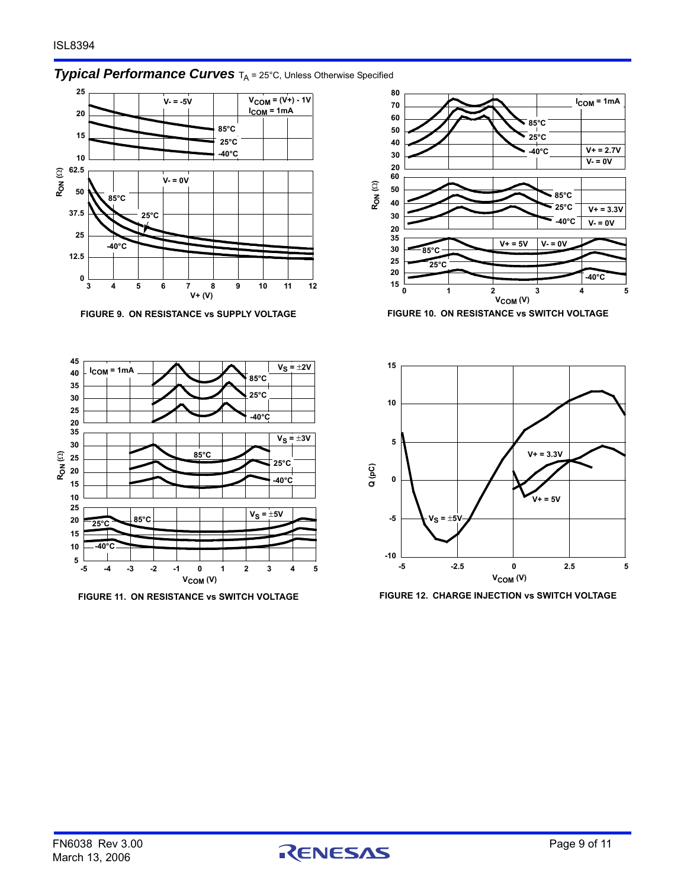# **Typical Performance Curves** T<sub>A</sub> = 25°C, Unless Otherwise Specified







**FIGURE 9. ON RESISTANCE vs SUPPLY VOLTAGE FIGURE 10. ON RESISTANCE vs SWITCH VOLTAGE**



**FIGURE 11. ON RESISTANCE vs SWITCH VOLTAGE FIGURE 12. CHARGE INJECTION vs SWITCH VOLTAGE**

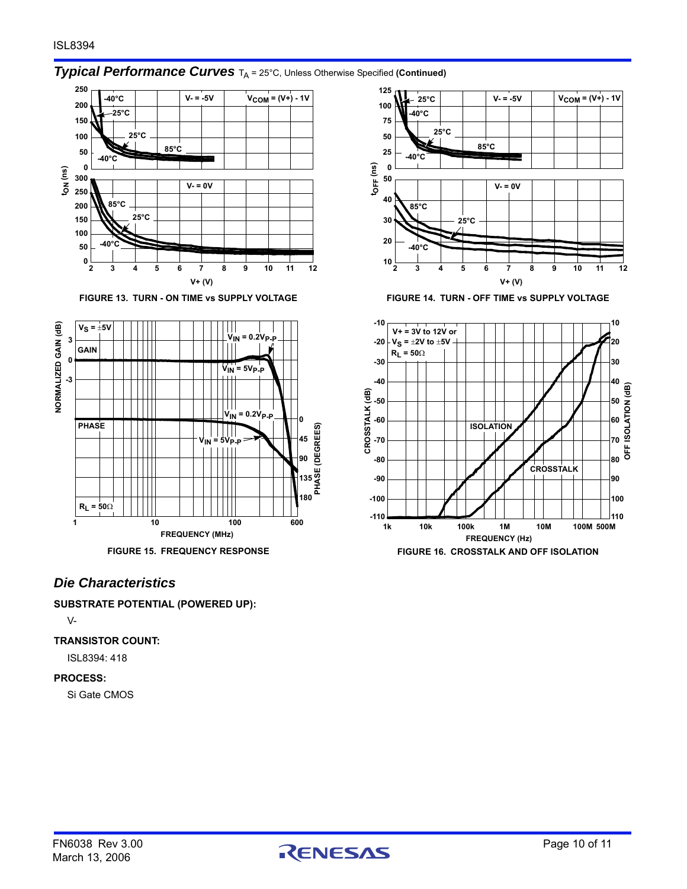

# **Typical Performance Curves**  $T_A$  = 25°C, Unless Otherwise Specified (Continued)





# *Die Characteristics*

**SUBSTRATE POTENTIAL (POWERED UP):**

V-

#### **TRANSISTOR COUNT:**

ISL8394: 418

#### **PROCESS:**

Si Gate CMOS



**FIGURE 13. TURN - ON TIME vs SUPPLY VOLTAGE FIGURE 14. TURN - OFF TIME vs SUPPLY VOLTAGE**